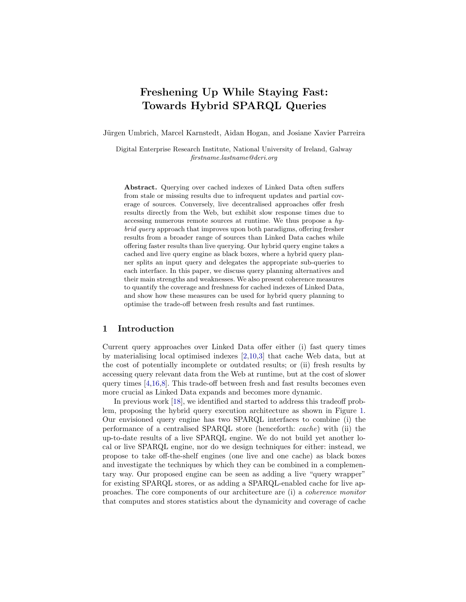# Freshening Up While Staying Fast: Towards Hybrid SPARQL Queries

Jürgen Umbrich, Marcel Karnstedt, Aidan Hogan, and Josiane Xavier Parreira

Digital Enterprise Research Institute, National University of Ireland, Galway firstname.lastname@deri.org

Abstract. Querying over cached indexes of Linked Data often suffers from stale or missing results due to infrequent updates and partial coverage of sources. Conversely, live decentralised approaches offer fresh results directly from the Web, but exhibit slow response times due to accessing numerous remote sources at runtime. We thus propose a hybrid query approach that improves upon both paradigms, offering fresher results from a broader range of sources than Linked Data caches while offering faster results than live querying. Our hybrid query engine takes a cached and live query engine as black boxes, where a hybrid query planner splits an input query and delegates the appropriate sub-queries to each interface. In this paper, we discuss query planning alternatives and their main strengths and weaknesses. We also present coherence measures to quantify the coverage and freshness for cached indexes of Linked Data, and show how these measures can be used for hybrid query planning to optimise the trade-off between fresh results and fast runtimes.

#### 1 Introduction

Current query approaches over Linked Data offer either (i) fast query times by materialising local optimised indexes [\[2,](#page-9-0)[10](#page-9-1)[,3\]](#page-9-2) that cache Web data, but at the cost of potentially incomplete or outdated results; or (ii) fresh results by accessing query relevant data from the Web at runtime, but at the cost of slower query times [\[4,](#page-9-3)[16,](#page-9-4)[8\]](#page-9-5). This trade-off between fresh and fast results becomes even more crucial as Linked Data expands and becomes more dynamic.

In previous work [\[18\]](#page-9-6), we identified and started to address this tradeoff problem, proposing the hybrid query execution architecture as shown in Figure [1.](#page-1-0) Our envisioned query engine has two SPARQL interfaces to combine (i) the performance of a centralised SPARQL store (henceforth: cache) with (ii) the up-to-date results of a live SPARQL engine. We do not build yet another local or live SPARQL engine, nor do we design techniques for either: instead, we propose to take off-the-shelf engines (one live and one cache) as black boxes and investigate the techniques by which they can be combined in a complementary way. Our proposed engine can be seen as adding a live "query wrapper" for existing SPARQL stores, or as adding a SPARQL-enabled cache for live approaches. The core components of our architecture are (i) a coherence monitor that computes and stores statistics about the dynamicity and coverage of cache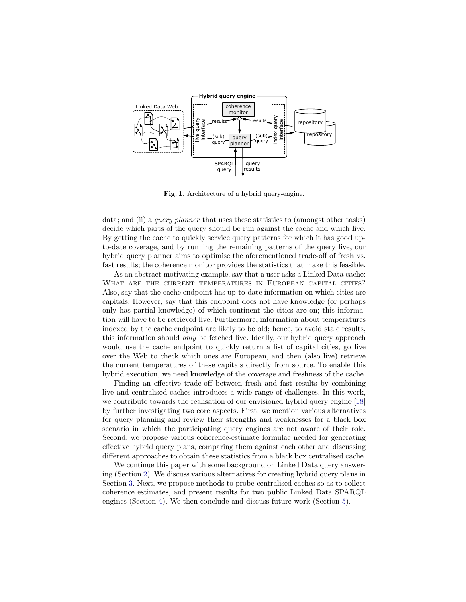

<span id="page-1-0"></span>Fig. 1. Architecture of a hybrid query-engine.

data; and (ii) a query planner that uses these statistics to (amongst other tasks) decide which parts of the query should be run against the cache and which live. By getting the cache to quickly service query patterns for which it has good upto-date coverage, and by running the remaining patterns of the query live, our hybrid query planner aims to optimise the aforementioned trade-off of fresh vs. fast results; the coherence monitor provides the statistics that make this feasible.

As an abstract motivating example, say that a user asks a Linked Data cache: WHAT ARE THE CURRENT TEMPERATURES IN EUROPEAN CAPITAL CITIES? Also, say that the cache endpoint has up-to-date information on which cities are capitals. However, say that this endpoint does not have knowledge (or perhaps only has partial knowledge) of which continent the cities are on; this information will have to be retrieved live. Furthermore, information about temperatures indexed by the cache endpoint are likely to be old; hence, to avoid stale results, this information should only be fetched live. Ideally, our hybrid query approach would use the cache endpoint to quickly return a list of capital cities, go live over the Web to check which ones are European, and then (also live) retrieve the current temperatures of these capitals directly from source. To enable this hybrid execution, we need knowledge of the coverage and freshness of the cache.

Finding an effective trade-off between fresh and fast results by combining live and centralised caches introduces a wide range of challenges. In this work, we contribute towards the realisation of our envisioned hybrid query engine [\[18\]](#page-9-6) by further investigating two core aspects. First, we mention various alternatives for query planning and review their strengths and weaknesses for a black box scenario in which the participating query engines are not aware of their role. Second, we propose various coherence-estimate formulae needed for generating effective hybrid query plans, comparing them against each other and discussing different approaches to obtain these statistics from a black box centralised cache.

We continue this paper with some background on Linked Data query answering (Section [2\)](#page-2-0). We discuss various alternatives for creating hybrid query plans in Section [3.](#page-2-1) Next, we propose methods to probe centralised caches so as to collect coherence estimates, and present results for two public Linked Data SPARQL engines (Section [4\)](#page-5-0). We then conclude and discuss future work (Section [5\)](#page-8-0).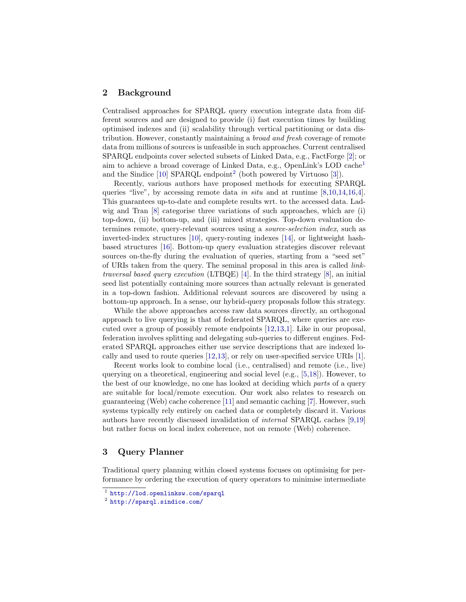## <span id="page-2-0"></span>2 Background

Centralised approaches for SPARQL query execution integrate data from different sources and are designed to provide (i) fast execution times by building optimised indexes and (ii) scalability through vertical partitioning or data distribution. However, constantly maintaining a broad and fresh coverage of remote data from millions of sources is unfeasible in such approaches. Current centralised SPARQL endpoints cover selected subsets of Linked Data, e.g., FactForge [\[2\]](#page-9-0); or aim to achieve a broad coverage of Linked Data, e.g., OpenLink's LOD cache[1](#page-2-2) and the Sindice  $[10]$  SPARQL endpoint<sup>[2](#page-2-3)</sup> (both powered by Virtuoso  $[3]$ ).

Recently, various authors have proposed methods for executing SPARQL queries "live", by accessing remote data in situ and at runtime [\[8,](#page-9-5)[10,](#page-9-1)[14,](#page-9-7)[16](#page-9-4)[,4\]](#page-9-3). This guarantees up-to-date and complete results wrt. to the accessed data. Ladwig and Tran [\[8\]](#page-9-5) categorise three variations of such approaches, which are (i) top-down, (ii) bottom-up, and (iii) mixed strategies. Top-down evaluation determines remote, query-relevant sources using a source-selection index, such as inverted-index structures [\[10\]](#page-9-1), query-routing indexes [\[14\]](#page-9-7), or lightweight hashbased structures [\[16\]](#page-9-4). Bottom-up query evaluation strategies discover relevant sources on-the-fly during the evaluation of queries, starting from a "seed set" of URIs taken from the query. The seminal proposal in this area is called linktraversal based query execution (LTBQE) [\[4\]](#page-9-3). In the third strategy [\[8\]](#page-9-5), an initial seed list potentially containing more sources than actually relevant is generated in a top-down fashion. Additional relevant sources are discovered by using a bottom-up approach. In a sense, our hybrid-query proposals follow this strategy.

While the above approaches access raw data sources directly, an orthogonal approach to live querying is that of federated SPARQL, where queries are executed over a group of possibly remote endpoints [\[12,](#page-9-8)[13](#page-9-9)[,1\]](#page-9-10). Like in our proposal, federation involves splitting and delegating sub-queries to different engines. Federated SPARQL approaches either use service descriptions that are indexed locally and used to route queries [\[12,](#page-9-8)[13\]](#page-9-9), or rely on user-specified service URIs [\[1\]](#page-9-10).

Recent works look to combine local (i.e., centralised) and remote (i.e., live) querying on a theoretical, engineering and social level (e.g., [\[5,](#page-9-11)[18\]](#page-9-6)). However, to the best of our knowledge, no one has looked at deciding which parts of a query are suitable for local/remote execution. Our work also relates to research on guaranteeing (Web) cache coherence [\[11\]](#page-9-12) and semantic caching [\[7\]](#page-9-13). However, such systems typically rely entirely on cached data or completely discard it. Various authors have recently discussed invalidation of internal SPARQL caches [\[9,](#page-9-14)[19\]](#page-9-15) but rather focus on local index coherence, not on remote (Web) coherence.

## <span id="page-2-1"></span>3 Query Planner

Traditional query planning within closed systems focuses on optimising for performance by ordering the execution of query operators to minimise intermediate

<span id="page-2-2"></span><sup>1</sup> <http://lod.openlinksw.com/sparql>

<span id="page-2-3"></span><sup>2</sup> <http://sparql.sindice.com/>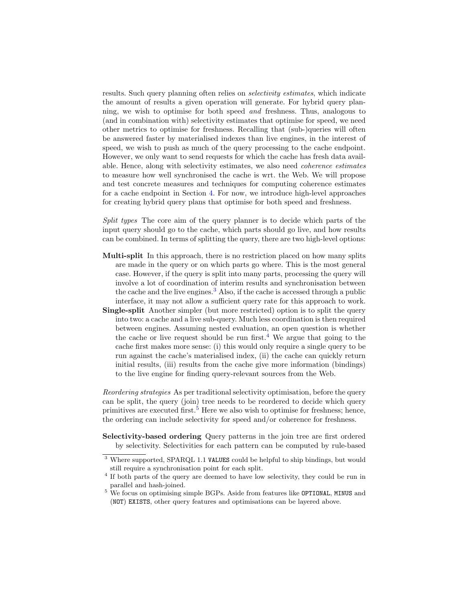results. Such query planning often relies on selectivity estimates, which indicate the amount of results a given operation will generate. For hybrid query planning, we wish to optimise for both speed and freshness. Thus, analogous to (and in combination with) selectivity estimates that optimise for speed, we need other metrics to optimise for freshness. Recalling that (sub-)queries will often be answered faster by materialised indexes than live engines, in the interest of speed, we wish to push as much of the query processing to the cache endpoint. However, we only want to send requests for which the cache has fresh data available. Hence, along with selectivity estimates, we also need coherence estimates to measure how well synchronised the cache is wrt. the Web. We will propose and test concrete measures and techniques for computing coherence estimates for a cache endpoint in Section [4.](#page-5-0) For now, we introduce high-level approaches for creating hybrid query plans that optimise for both speed and freshness.

Split types The core aim of the query planner is to decide which parts of the input query should go to the cache, which parts should go live, and how results can be combined. In terms of splitting the query, there are two high-level options:

- Multi-split In this approach, there is no restriction placed on how many splits are made in the query or on which parts go where. This is the most general case. However, if the query is split into many parts, processing the query will involve a lot of coordination of interim results and synchronisation between the cache and the live engines.[3](#page-3-0) Also, if the cache is accessed through a public interface, it may not allow a sufficient query rate for this approach to work.
- Single-split Another simpler (but more restricted) option is to split the query into two: a cache and a live sub-query. Much less coordination is then required between engines. Assuming nested evaluation, an open question is whether the cache or live request should be run first.<sup>[4](#page-3-1)</sup> We argue that going to the cache first makes more sense: (i) this would only require a single query to be run against the cache's materialised index, (ii) the cache can quickly return initial results, (iii) results from the cache give more information (bindings) to the live engine for finding query-relevant sources from the Web.

Reordering strategies As per traditional selectivity optimisation, before the query can be split, the query (join) tree needs to be reordered to decide which query primitives are executed first.<sup>[5](#page-3-2)</sup> Here we also wish to optimise for freshness; hence, the ordering can include selectivity for speed and/or coherence for freshness.

Selectivity-based ordering Query patterns in the join tree are first ordered by selectivity. Selectivities for each pattern can be computed by rule-based

<span id="page-3-0"></span><sup>&</sup>lt;sup>3</sup> Where supported, SPARQL 1.1 VALUES could be helpful to ship bindings, but would still require a synchronisation point for each split.

<span id="page-3-1"></span><sup>&</sup>lt;sup>4</sup> If both parts of the query are deemed to have low selectivity, they could be run in parallel and hash-joined.

<span id="page-3-2"></span> $5$  We focus on optimising simple BGPs. Aside from features like OPTIONAL, MINUS and (NOT) EXISTS, other query features and optimisations can be layered above.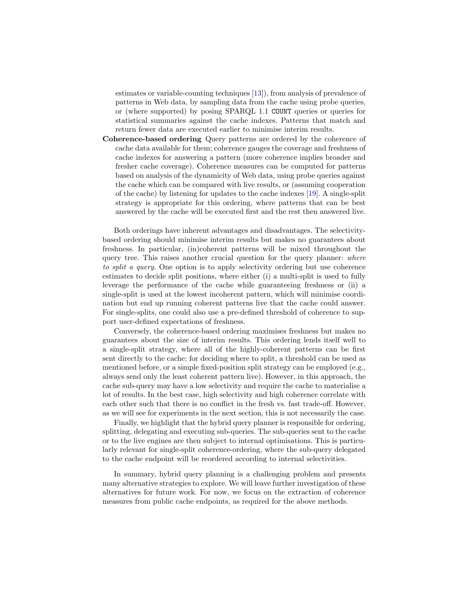estimates or variable-counting techniques [\[13\]](#page-9-9)), from analysis of prevalence of patterns in Web data, by sampling data from the cache using probe queries, or (where supported) by posing SPARQL 1.1 COUNT queries or queries for statistical summaries against the cache indexes. Patterns that match and return fewer data are executed earlier to minimise interim results.

Coherence-based ordering Query patterns are ordered by the coherence of cache data available for them; coherence gauges the coverage and freshness of cache indexes for answering a pattern (more coherence implies broader and fresher cache coverage). Coherence measures can be computed for patterns based on analysis of the dynamicity of Web data, using probe queries against the cache which can be compared with live results, or (assuming cooperation of the cache) by listening for updates to the cache indexes [\[19\]](#page-9-15). A single-split strategy is appropriate for this ordering, where patterns that can be best answered by the cache will be executed first and the rest then answered live.

Both orderings have inherent advantages and disadvantages. The selectivitybased ordering should minimise interim results but makes no guarantees about freshness. In particular, (in)coherent patterns will be mixed throughout the query tree. This raises another crucial question for the query planner: where to split a query. One option is to apply selectivity ordering but use coherence estimates to decide split positions, where either (i) a multi-split is used to fully leverage the performance of the cache while guaranteeing freshness or (ii) a single-split is used at the lowest incoherent pattern, which will minimise coordination but end up running coherent patterns live that the cache could answer. For single-splits, one could also use a pre-defined threshold of coherence to support user-defined expectations of freshness.

Conversely, the coherence-based ordering maximises freshness but makes no guarantees about the size of interim results. This ordering lends itself well to a single-split strategy, where all of the highly-coherent patterns can be first sent directly to the cache; for deciding where to split, a threshold can be used as mentioned before, or a simple fixed-position split strategy can be employed (e.g., always send only the least coherent pattern live). However, in this approach, the cache sub-query may have a low selectivity and require the cache to materialise a lot of results. In the best case, high selectivity and high coherence correlate with each other such that there is no conflict in the fresh vs. fast trade-off. However, as we will see for experiments in the next section, this is not necessarily the case.

Finally, we highlight that the hybrid query planner is responsible for ordering, splitting, delegating and executing sub-queries. The sub-queries sent to the cache or to the live engines are then subject to internal optimisations. This is particularly relevant for single-split coherence-ordering, where the sub-query delegated to the cache endpoint will be reordered according to internal selectivities.

In summary, hybrid query planning is a challenging problem and presents many alternative strategies to explore. We will leave further investigation of these alternatives for future work. For now, we focus on the extraction of coherence measures from public cache endpoints, as required for the above methods.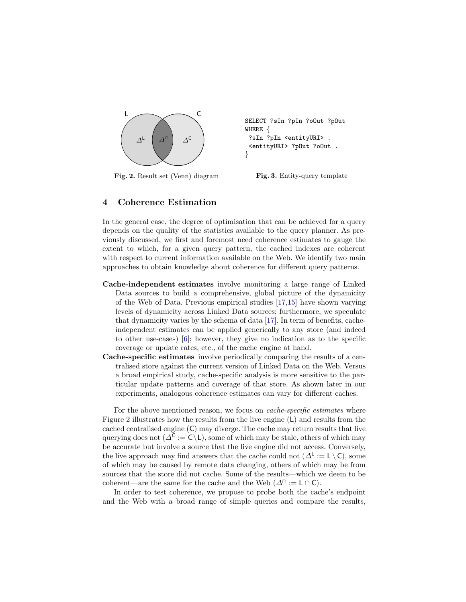

<span id="page-5-1"></span>Fig. 2. Result set (Venn) diagram

<span id="page-5-2"></span>Fig. 3. Entity-query template

## <span id="page-5-0"></span>4 Coherence Estimation

In the general case, the degree of optimisation that can be achieved for a query depends on the quality of the statistics available to the query planner. As previously discussed, we first and foremost need coherence estimates to gauge the extent to which, for a given query pattern, the cached indexes are coherent with respect to current information available on the Web. We identify two main approaches to obtain knowledge about coherence for different query patterns.

- Cache-independent estimates involve monitoring a large range of Linked Data sources to build a comprehensive, global picture of the dynamicity of the Web of Data. Previous empirical studies [\[17,](#page-9-16)[15\]](#page-9-17) have shown varying levels of dynamicity across Linked Data sources; furthermore, we speculate that dynamicity varies by the schema of data [\[17\]](#page-9-16). In term of benefits, cacheindependent estimates can be applied generically to any store (and indeed to other use-cases) [\[6\]](#page-9-18); however, they give no indication as to the specific coverage or update rates, etc., of the cache engine at hand.
- Cache-specific estimates involve periodically comparing the results of a centralised store against the current version of Linked Data on the Web. Versus a broad empirical study, cache-specific analysis is more sensitive to the particular update patterns and coverage of that store. As shown later in our experiments, analogous coherence estimates can vary for different caches.

For the above mentioned reason, we focus on *cache-specific estimates* where Figure [2](#page-5-1) illustrates how the results from the live engine (L) and results from the cached centralised engine (C) may diverge. The cache may return results that live querying does not  $(\Delta^C := C \backslash L)$ , some of which may be stale, others of which may be accurate but involve a source that the live engine did not access. Conversely, the live approach may find answers that the cache could not  $(\Delta^{\mathsf{L}} := \mathsf{L} \setminus \mathsf{C})$ , some of which may be caused by remote data changing, others of which may be from sources that the store did not cache. Some of the results—which we deem to be coherent—are the same for the cache and the Web ( $\Delta^{\cap}$  := L  $\cap$  C).

In order to test coherence, we propose to probe both the cache's endpoint and the Web with a broad range of simple queries and compare the results,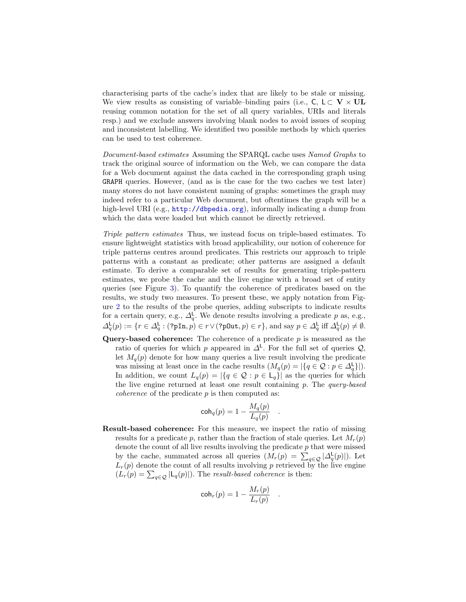characterising parts of the cache's index that are likely to be stale or missing. We view results as consisting of variable–binding pairs (i.e., C,  $L \subset V \times UL$ reusing common notation for the set of all query variables, URIs and literals resp.) and we exclude answers involving blank nodes to avoid issues of scoping and inconsistent labelling. We identified two possible methods by which queries can be used to test coherence.

Document-based estimates Assuming the SPARQL cache uses Named Graphs to track the original source of information on the Web, we can compare the data for a Web document against the data cached in the corresponding graph using GRAPH queries. However, (and as is the case for the two caches we test later) many stores do not have consistent naming of graphs: sometimes the graph may indeed refer to a particular Web document, but oftentimes the graph will be a high-level URI (e.g., <http://dbpedia.org>), informally indicating a dump from which the data were loaded but which cannot be directly retrieved.

Triple pattern estimates Thus, we instead focus on triple-based estimates. To ensure lightweight statistics with broad applicability, our notion of coherence for triple patterns centres around predicates. This restricts our approach to triple patterns with a constant as predicate; other patterns are assigned a default estimate. To derive a comparable set of results for generating triple-pattern estimates, we probe the cache and the live engine with a broad set of entity queries (see Figure [3\)](#page-5-2). To quantify the coherence of predicates based on the results, we study two measures. To present these, we apply notation from Figure [2](#page-5-1) to the results of the probe queries, adding subscripts to indicate results for a certain query, e.g.,  $\Delta_q^{\mathsf{L}}$ . We denote results involving a predicate p as, e.g.,  $\Delta_q^{\mathsf{L}}(p) := \{r \in \Delta_q^{\mathsf{L}} : (\mathsf{?pIn}, p) \in r \vee (\mathsf{?pOut}, p) \in r\},\$ and say  $p \in \Delta_q^{\mathsf{L}}$  iff  $\Delta_q^{\mathsf{L}}(p) \neq \emptyset$ .

**Query-based coherence:** The coherence of a predicate  $p$  is measured as the ratio of queries for which p appeared in  $\Delta^{\mathsf{L}}$ . For the full set of queries  $\mathcal{Q},$ let  $M_q(p)$  denote for how many queries a live result involving the predicate was missing at least once in the cache results  $(M_q(p) = |\{q \in \mathcal{Q} : p \in \Delta_q^{\mathsf{L}}\}|).$ In addition, we count  $L_q(p) = |\{q \in \mathcal{Q} : p \in \mathsf{L}_q\}|$  as the queries for which the live engine returned at least one result containing  $p$ . The *query-based coherence* of the predicate  $p$  is then computed as:

$$
\text{coh}_q(p) = 1 - \frac{M_q(p)}{L_q(p)}
$$

.

.

Result-based coherence: For this measure, we inspect the ratio of missing results for a predicate p, rather than the fraction of stale queries. Let  $M_r(p)$ denote the count of all live results involving the predicate  $p$  that were missed by the cache, summated across all queries  $(M_r(p) = \sum_{q \in \mathcal{Q}} |\Delta_q^{\mathsf{L}}(p)|)$ . Let  $L_r(p)$  denote the count of all results involving p retrieved by the live engine  $(L_r(p) = \sum_{q \in \mathcal{Q}} |L_q(p)|)$ . The result-based coherence is then:

$$
\mathsf{coh}_r(p) = 1 - \frac{M_r(p)}{L_r(p)}
$$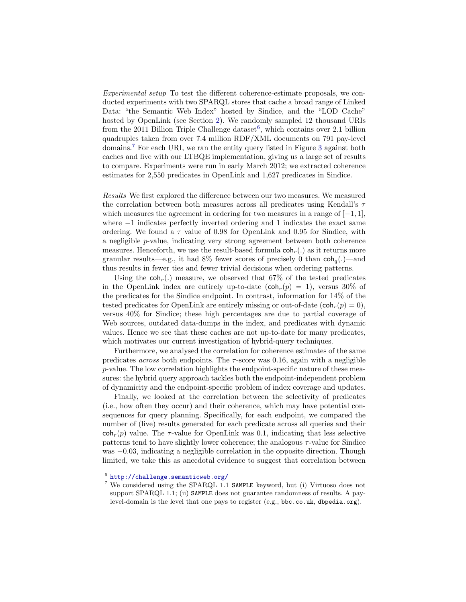Experimental setup To test the different coherence-estimate proposals, we conducted experiments with two SPARQL stores that cache a broad range of Linked Data: "the Semantic Web Index" hosted by Sindice, and the "LOD Cache" hosted by OpenLink (see Section [2\)](#page-2-0). We randomly sampled 12 thousand URIs from the 2011 Billion Triple Challenge dataset<sup>[6](#page-7-0)</sup>, which contains over 2.1 billion quadruples taken from over 7.4 million RDF/XML documents on 791 pay-level domains.[7](#page-7-1) For each URI, we ran the entity query listed in Figure [3](#page-5-2) against both caches and live with our LTBQE implementation, giving us a large set of results to compare. Experiments were run in early March 2012; we extracted coherence estimates for 2,550 predicates in OpenLink and 1,627 predicates in Sindice.

Results We first explored the difference between our two measures. We measured the correlation between both measures across all predicates using Kendall's  $\tau$ which measures the agreement in ordering for two measures in a range of  $[-1, 1]$ , where −1 indicates perfectly inverted ordering and 1 indicates the exact same ordering. We found a  $\tau$  value of 0.98 for OpenLink and 0.95 for Sindice, with a negligible p-value, indicating very strong agreement between both coherence measures. Henceforth, we use the result-based formula  $\text{coh}_r(.)$  as it returns more granular results—e.g., it had 8% fewer scores of precisely 0 than  $\text{coh}_q(.)$ —and thus results in fewer ties and fewer trivial decisions when ordering patterns.

Using the  $\text{coh}_r(.)$  measure, we observed that 67% of the tested predicates in the OpenLink index are entirely up-to-date  $(\text{coh}_r(p) = 1)$ , versus 30% of the predicates for the Sindice endpoint. In contrast, information for 14% of the tested predicates for OpenLink are entirely missing or out-of-date  $(\text{coh}_r(p) = 0)$ , versus 40% for Sindice; these high percentages are due to partial coverage of Web sources, outdated data-dumps in the index, and predicates with dynamic values. Hence we see that these caches are not up-to-date for many predicates, which motivates our current investigation of hybrid-query techniques.

Furthermore, we analysed the correlation for coherence estimates of the same predicates *across* both endpoints. The  $\tau$ -score was 0.16, again with a negligible p-value. The low correlation highlights the endpoint-specific nature of these measures: the hybrid query approach tackles both the endpoint-independent problem of dynamicity and the endpoint-specific problem of index coverage and updates.

Finally, we looked at the correlation between the selectivity of predicates (i.e., how often they occur) and their coherence, which may have potential consequences for query planning. Specifically, for each endpoint, we compared the number of (live) results generated for each predicate across all queries and their  $\text{coh}_r(p)$  value. The  $\tau$ -value for OpenLink was 0.1, indicating that less selective patterns tend to have slightly lower coherence; the analogous  $\tau$ -value for Sindice was −0.03, indicating a negligible correlation in the opposite direction. Though limited, we take this as anecdotal evidence to suggest that correlation between

<span id="page-7-0"></span> $^6$  <http://challenge.semanticweb.org/>

<span id="page-7-1"></span><sup>7</sup> We considered using the SPARQL 1.1 SAMPLE keyword, but (i) Virtuoso does not support SPARQL 1.1; (ii) SAMPLE does not guarantee randomness of results. A paylevel-domain is the level that one pays to register (e.g., bbc.co.uk, dbpedia.org).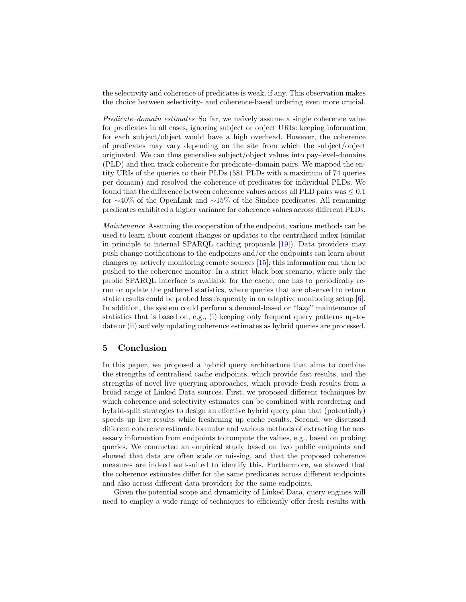the selectivity and coherence of predicates is weak, if any. This observation makes the choice between selectivity- and coherence-based ordering even more crucial.

Predicate–domain estimates So far, we naïvely assume a single coherence value for predicates in all cases, ignoring subject or object URIs: keeping information for each subject/object would have a high overhead. However, the coherence of predicates may vary depending on the site from which the subject/object originated. We can thus generalise subject/object values into pay-level-domains (PLD) and then track coherence for predicate–domain pairs. We mapped the entity URIs of the queries to their PLDs (581 PLDs with a maximum of 74 queries per domain) and resolved the coherence of predicates for individual PLDs. We found that the difference between coherence values across all PLD pairs was  $\leq 0.1$ for ∼40% of the OpenLink and ∼15% of the Sindice predicates. All remaining predicates exhibited a higher variance for coherence values across different PLDs.

Maintenance Assuming the cooperation of the endpoint, various methods can be used to learn about content changes or updates to the centralised index (similar in principle to internal SPARQL caching proposals [\[19\]](#page-9-15)). Data providers may push change notifications to the endpoints and/or the endpoints can learn about changes by actively monitoring remote sources [\[15\]](#page-9-17); this information can then be pushed to the coherence monitor. In a strict black box scenario, where only the public SPARQL interface is available for the cache, one has to periodically rerun or update the gathered statistics, where queries that are observed to return static results could be probed less frequently in an adaptive monitoring setup [\[6\]](#page-9-18). In addition, the system could perform a demand-based or "lazy" maintenance of statistics that is based on, e.g., (i) keeping only frequent query patterns up-todate or (ii) actively updating coherence estimates as hybrid queries are processed.

## <span id="page-8-0"></span>5 Conclusion

In this paper, we proposed a hybrid query architecture that aims to combine the strengths of centralised cache endpoints, which provide fast results, and the strengths of novel live querying approaches, which provide fresh results from a broad range of Linked Data sources. First, we proposed different techniques by which coherence and selectivity estimates can be combined with reordering and hybrid-split strategies to design an effective hybrid query plan that (potentially) speeds up live results while freshening up cache results. Second, we discussed different coherence estimate formulae and various methods of extracting the necessary information from endpoints to compute the values, e.g., based on probing queries. We conducted an empirical study based on two public endpoints and showed that data are often stale or missing, and that the proposed coherence measures are indeed well-suited to identify this. Furthermore, we showed that the coherence estimates differ for the same predicates across different endpoints and also across different data providers for the same endpoints.

Given the potential scope and dynamicity of Linked Data, query engines will need to employ a wide range of techniques to efficiently offer fresh results with